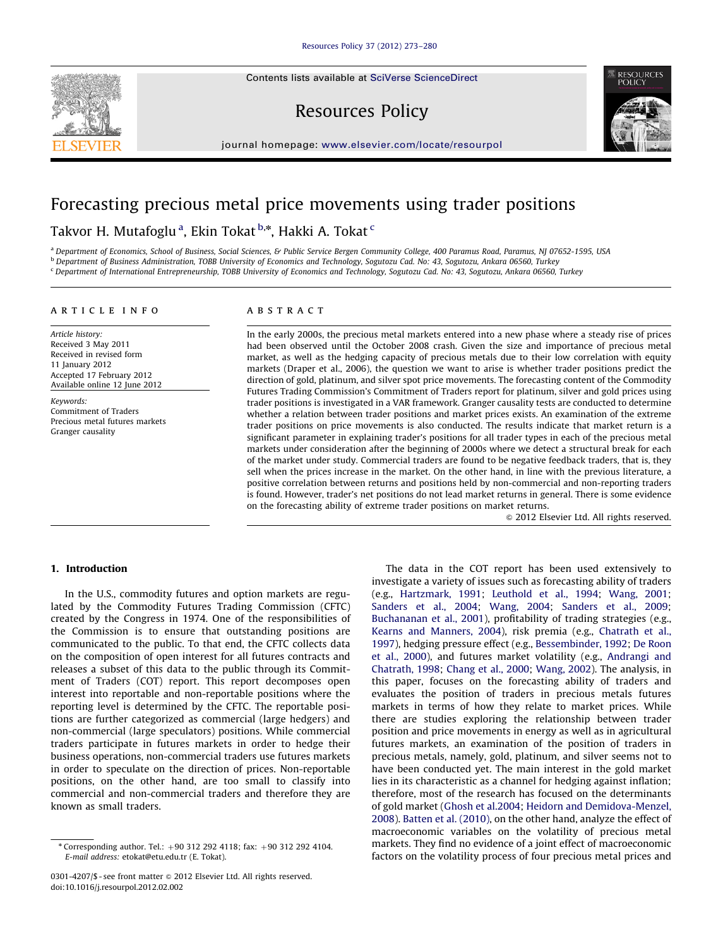Contents lists available at [SciVerse ScienceDirect](www.elsevier.com/locate/resourpol)







journal homepage: <www.elsevier.com/locate/resourpol>

# Forecasting precious metal price movements using trader positions

# Takvor H. Mutafoglu <sup>a</sup>, Ekin Tokat <sup>b,</sup>\*, Hakki A. Tokat <sup>c</sup>

a Department of Economics, School of Business, Social Sciences, & Public Service Bergen Community College, 400 Paramus Road, Paramus, NJ 07652-1595, USA <sup>b</sup> Department of Business Administration, TOBB University of Economics and Technology, Sogutozu Cad. No: 43, Sogutozu, Ankara 06560, Turkey

<sup>c</sup> Department of International Entrepreneurship, TOBB University of Economics and Technology, Sogutozu Cad. No: 43, Sogutozu, Ankara 06560, Turkey

### article info

Article history: Received 3 May 2011 Received in revised form 11 January 2012 Accepted 17 February 2012 Available online 12 June 2012

Keywords: Commitment of Traders Precious metal futures markets Granger causality

## ABSTRACT

In the early 2000s, the precious metal markets entered into a new phase where a steady rise of prices had been observed until the October 2008 crash. Given the size and importance of precious metal market, as well as the hedging capacity of precious metals due to their low correlation with equity markets (Draper et al., 2006), the question we want to arise is whether trader positions predict the direction of gold, platinum, and silver spot price movements. The forecasting content of the Commodity Futures Trading Commission's Commitment of Traders report for platinum, silver and gold prices using trader positions is investigated in a VAR framework. Granger causality tests are conducted to determine whether a relation between trader positions and market prices exists. An examination of the extreme trader positions on price movements is also conducted. The results indicate that market return is a significant parameter in explaining trader's positions for all trader types in each of the precious metal markets under consideration after the beginning of 2000s where we detect a structural break for each of the market under study. Commercial traders are found to be negative feedback traders, that is, they sell when the prices increase in the market. On the other hand, in line with the previous literature, a positive correlation between returns and positions held by non-commercial and non-reporting traders is found. However, trader's net positions do not lead market returns in general. There is some evidence on the forecasting ability of extreme trader positions on market returns.

 $© 2012 Elsevier Ltd. All rights reserved.$ 

### 1. Introduction

In the U.S., commodity futures and option markets are regulated by the Commodity Futures Trading Commission (CFTC) created by the Congress in 1974. One of the responsibilities of the Commission is to ensure that outstanding positions are communicated to the public. To that end, the CFTC collects data on the composition of open interest for all futures contracts and releases a subset of this data to the public through its Commitment of Traders (COT) report. This report decomposes open interest into reportable and non-reportable positions where the reporting level is determined by the CFTC. The reportable positions are further categorized as commercial (large hedgers) and non-commercial (large speculators) positions. While commercial traders participate in futures markets in order to hedge their business operations, non-commercial traders use futures markets in order to speculate on the direction of prices. Non-reportable positions, on the other hand, are too small to classify into commercial and non-commercial traders and therefore they are known as small traders.

The data in the COT report has been used extensively to investigate a variety of issues such as forecasting ability of traders (e.g., [Hartzmark, 1991](#page--1-0); [Leuthold et al., 1994](#page--1-0); [Wang, 2001;](#page--1-0) [Sanders et al., 2004](#page--1-0); [Wang, 2004;](#page--1-0) [Sanders et al., 2009;](#page--1-0) [Buchananan et al., 2001\)](#page--1-0), profitability of trading strategies (e.g., [Kearns and Manners, 2004\)](#page--1-0), risk premia (e.g., [Chatrath et al.,](#page--1-0) [1997\)](#page--1-0), hedging pressure effect (e.g., [Bessembinder, 1992;](#page--1-0) [De Roon](#page--1-0) [et al., 2000](#page--1-0)), and futures market volatility (e.g., [Andrangi and](#page--1-0) [Chatrath, 1998;](#page--1-0) [Chang et al., 2000;](#page--1-0) [Wang, 2002](#page--1-0)). The analysis, in this paper, focuses on the forecasting ability of traders and evaluates the position of traders in precious metals futures markets in terms of how they relate to market prices. While there are studies exploring the relationship between trader position and price movements in energy as well as in agricultural futures markets, an examination of the position of traders in precious metals, namely, gold, platinum, and silver seems not to have been conducted yet. The main interest in the gold market lies in its characteristic as a channel for hedging against inflation; therefore, most of the research has focused on the determinants of gold market [\(Ghosh et al.2004](#page--1-0); [Heidorn and Demidova-Menzel,](#page--1-0) [2008\)](#page--1-0). [Batten et al. \(2010\)](#page--1-0), on the other hand, analyze the effect of macroeconomic variables on the volatility of precious metal markets. They find no evidence of a joint effect of macroeconomic factors on the volatility process of four precious metal prices and

 $*$  Corresponding author. Tel.: +90 312 292 4118; fax: +90 312 292 4104. E-mail address: [etokat@etu.edu.tr \(E. Tokat\)](mailto:etokat@etu.edu.tr).

<sup>0301-4207/\$ -</sup> see front matter @ 2012 Elsevier Ltd. All rights reserved. doi:[10.1016/j.resourpol.2012.02.002](dx.doi.org/10.1016/j.resourpol.2012.02.002)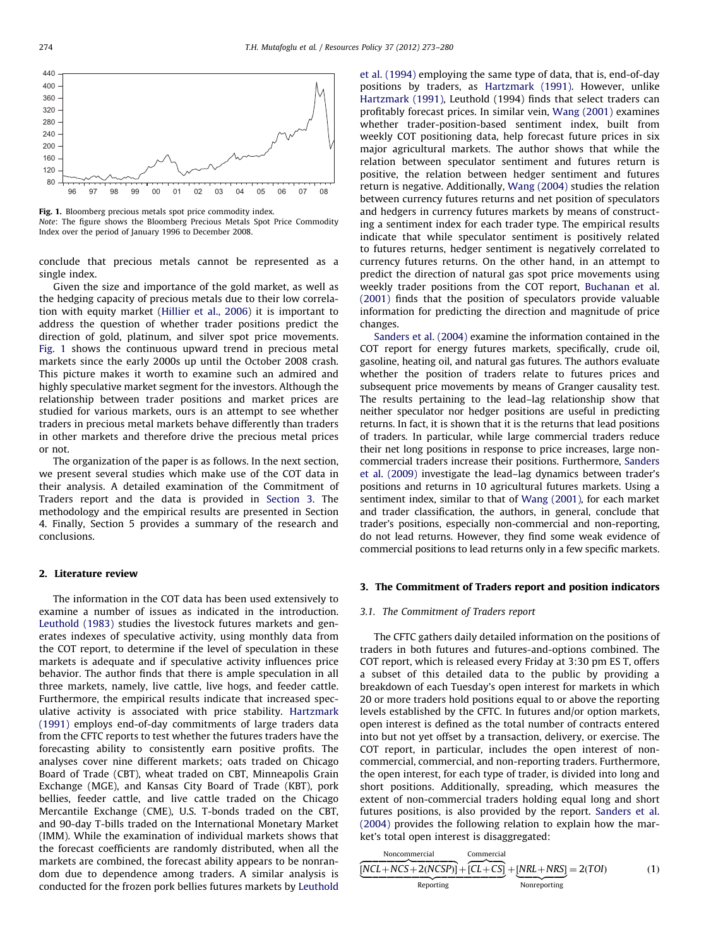

Fig. 1. Bloomberg precious metals spot price commodity index. Note: The figure shows the Bloomberg Precious Metals Spot Price Commodity Index over the period of January 1996 to December 2008.

conclude that precious metals cannot be represented as a single index.

Given the size and importance of the gold market, as well as the hedging capacity of precious metals due to their low correlation with equity market [\(Hillier et al., 2006\)](#page--1-0) it is important to address the question of whether trader positions predict the direction of gold, platinum, and silver spot price movements. Fig. 1 shows the continuous upward trend in precious metal markets since the early 2000s up until the October 2008 crash. This picture makes it worth to examine such an admired and highly speculative market segment for the investors. Although the relationship between trader positions and market prices are studied for various markets, ours is an attempt to see whether traders in precious metal markets behave differently than traders in other markets and therefore drive the precious metal prices or not.

The organization of the paper is as follows. In the next section, we present several studies which make use of the COT data in their analysis. A detailed examination of the Commitment of Traders report and the data is provided in Section 3. The methodology and the empirical results are presented in Section 4. Finally, Section 5 provides a summary of the research and conclusions.

#### 2. Literature review

The information in the COT data has been used extensively to examine a number of issues as indicated in the introduction. [Leuthold \(1983\)](#page--1-0) studies the livestock futures markets and generates indexes of speculative activity, using monthly data from the COT report, to determine if the level of speculation in these markets is adequate and if speculative activity influences price behavior. The author finds that there is ample speculation in all three markets, namely, live cattle, live hogs, and feeder cattle. Furthermore, the empirical results indicate that increased speculative activity is associated with price stability. [Hartzmark](#page--1-0) [\(1991\)](#page--1-0) employs end-of-day commitments of large traders data from the CFTC reports to test whether the futures traders have the forecasting ability to consistently earn positive profits. The analyses cover nine different markets; oats traded on Chicago Board of Trade (CBT), wheat traded on CBT, Minneapolis Grain Exchange (MGE), and Kansas City Board of Trade (KBT), pork bellies, feeder cattle, and live cattle traded on the Chicago Mercantile Exchange (CME), U.S. T-bonds traded on the CBT, and 90-day T-bills traded on the International Monetary Market (IMM). While the examination of individual markets shows that the forecast coefficients are randomly distributed, when all the markets are combined, the forecast ability appears to be nonrandom due to dependence among traders. A similar analysis is conducted for the frozen pork bellies futures markets by [Leuthold](#page--1-0)

[et al. \(1994\)](#page--1-0) employing the same type of data, that is, end-of-day positions by traders, as [Hartzmark \(1991\).](#page--1-0) However, unlike [Hartzmark \(1991\),](#page--1-0) Leuthold (1994) finds that select traders can profitably forecast prices. In similar vein, [Wang \(2001\)](#page--1-0) examines whether trader-position-based sentiment index, built from weekly COT positioning data, help forecast future prices in six major agricultural markets. The author shows that while the relation between speculator sentiment and futures return is positive, the relation between hedger sentiment and futures return is negative. Additionally, [Wang \(2004\)](#page--1-0) studies the relation between currency futures returns and net position of speculators and hedgers in currency futures markets by means of constructing a sentiment index for each trader type. The empirical results indicate that while speculator sentiment is positively related to futures returns, hedger sentiment is negatively correlated to currency futures returns. On the other hand, in an attempt to predict the direction of natural gas spot price movements using weekly trader positions from the COT report, [Buchanan et al.](#page--1-0) [\(2001\)](#page--1-0) finds that the position of speculators provide valuable information for predicting the direction and magnitude of price changes.

[Sanders et al. \(2004\)](#page--1-0) examine the information contained in the COT report for energy futures markets, specifically, crude oil, gasoline, heating oil, and natural gas futures. The authors evaluate whether the position of traders relate to futures prices and subsequent price movements by means of Granger causality test. The results pertaining to the lead–lag relationship show that neither speculator nor hedger positions are useful in predicting returns. In fact, it is shown that it is the returns that lead positions of traders. In particular, while large commercial traders reduce their net long positions in response to price increases, large noncommercial traders increase their positions. Furthermore, [Sanders](#page--1-0) [et al. \(2009\)](#page--1-0) investigate the lead–lag dynamics between trader's positions and returns in 10 agricultural futures markets. Using a sentiment index, similar to that of [Wang \(2001\),](#page--1-0) for each market and trader classification, the authors, in general, conclude that trader's positions, especially non-commercial and non-reporting, do not lead returns. However, they find some weak evidence of commercial positions to lead returns only in a few specific markets.

#### 3. The Commitment of Traders report and position indicators

#### 3.1. The Commitment of Traders report

The CFTC gathers daily detailed information on the positions of traders in both futures and futures-and-options combined. The COT report, which is released every Friday at 3:30 pm ES T, offers a subset of this detailed data to the public by providing a breakdown of each Tuesday's open interest for markets in which 20 or more traders hold positions equal to or above the reporting levels established by the CFTC. In futures and/or option markets, open interest is defined as the total number of contracts entered into but not yet offset by a transaction, delivery, or exercise. The COT report, in particular, includes the open interest of noncommercial, commercial, and non-reporting traders. Furthermore, the open interest, for each type of trader, is divided into long and short positions. Additionally, spreading, which measures the extent of non-commercial traders holding equal long and short futures positions, is also provided by the report. [Sanders et al.](#page--1-0) [\(2004\)](#page--1-0) provides the following relation to explain how the market's total open interest is disaggregated:

$$
\underbrace{[NCL + NCS + 2(NCSP)]}_{Reporting} + \underbrace{[CL + CS]}_{Keporting} + \underbrace{[NRL + NRS]}_{Nonreporting} = 2(TOI)
$$
 (1)